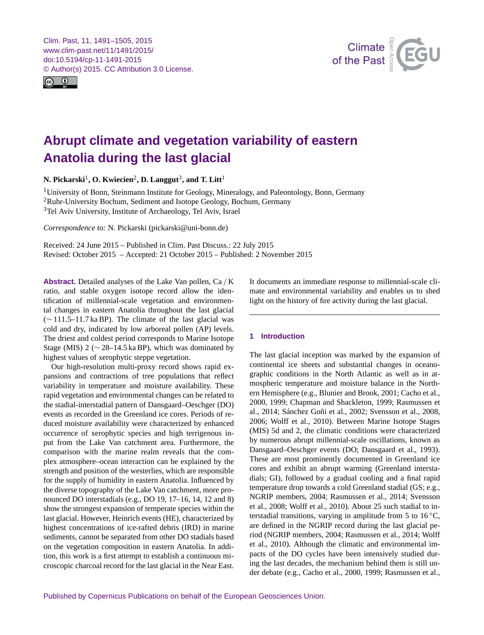<span id="page-0-1"></span>Clim. Past, 11, 1491–1505, 2015 www.clim-past.net/11/1491/2015/ doi:10.5194/cp-11-1491-2015 © Author(s) 2015. CC Attribution 3.0 License.





# **Abrupt climate and vegetation variability of eastern Anatolia during the last glacial**

 $N$ . Pickarski<sup>[1](#page-0-0)</sup>, O. Kwiecien<sup>[2](#page-0-0)</sup>, D. Langgut<sup>[3](#page-0-0)</sup>, and T. Litt<sup>1</sup>

<sup>1</sup>University of Bonn, Steinmann Institute for Geology, Mineralogy, and Paleontology, Bonn, Germany <sup>2</sup>Ruhr-University Bochum, Sediment and Isotope Geology, Bochum, Germany <sup>3</sup>Tel Aviv University, Institute of Archaeology, Tel Aviv, Israel

*Correspondence to:* N. Pickarski (pickarski@uni-bonn.de)

Received: 24 June 2015 – Published in Clim. Past Discuss.: 22 July 2015 Revised: October 2015 – Accepted: 21 October 2015 – Published: 2 November 2015

<span id="page-0-0"></span>**Abstract.** Detailed analyses of the Lake Van pollen, Ca / K ratio, and stable oxygen isotope record allow the identification of millennial-scale vegetation and environmental changes in eastern Anatolia throughout the last glacial (∼ 111.5–11.7 ka BP). The climate of the last glacial was cold and dry, indicated by low arboreal pollen (AP) levels. The driest and coldest period corresponds to Marine Isotope Stage (MIS) 2 ( $\sim$  28–14.5 ka BP), which was dominated by highest values of xerophytic steppe vegetation.

Our high-resolution multi-proxy record shows rapid expansions and contractions of tree populations that reflect variability in temperature and moisture availability. These rapid vegetation and environmental changes can be related to the stadial-interstadial pattern of Dansgaard–Oeschger (DO) events as recorded in the Greenland ice cores. Periods of reduced moisture availability were characterized by enhanced occurrence of xerophytic species and high terrigenous input from the Lake Van catchment area. Furthermore, the comparison with the marine realm reveals that the complex atmosphere–ocean interaction can be explained by the strength and position of the westerlies, which are responsible for the supply of humidity in eastern Anatolia. Influenced by the diverse topography of the Lake Van catchment, more pronounced DO interstadials (e.g., DO 19, 17–16, 14, 12 and 8) show the strongest expansion of temperate species within the last glacial. However, Heinrich events (HE), characterized by highest concentrations of ice-rafted debris (IRD) in marine sediments, cannot be separated from other DO stadials based on the vegetation composition in eastern Anatolia. In addition, this work is a first attempt to establish a continuous microscopic charcoal record for the last glacial in the Near East. It documents an immediate response to millennial-scale climate and environmental variability and enables us to shed light on the history of fire activity during the last glacial.

## **1 Introduction**

The last glacial inception was marked by the expansion of continental ice sheets and substantial changes in oceanographic conditions in the North Atlantic as well as in atmospheric temperature and moisture balance in the Northern Hemisphere (e.g., Blunier and Brook, 2001; Cacho et al., 2000, 1999; Chapman and Shackleton, 1999; Rasmussen et al., 2014; Sánchez Goñi et al., 2002; Svensson et al., 2008, 2006; Wolff et al., 2010). Between Marine Isotope Stages (MIS) 5d and 2, the climatic conditions were characterized by numerous abrupt millennial-scale oscillations, known as Dansgaard–Oeschger events (DO; Dansgaard et al., 1993). These are most prominently documented in Greenland ice cores and exhibit an abrupt warming (Greenland interstadials; GI), followed by a gradual cooling and a final rapid temperature drop towards a cold Greenland stadial (GS; e.g., NGRIP members, 2004; Rasmussen et al., 2014; Svensson et al., 2008; Wolff et al., 2010). About 25 such stadial to interstadial transitions, varying in amplitude from 5 to  $16^{\circ}$ C, are defined in the NGRIP record during the last glacial period (NGRIP members, 2004; Rasmussen et al., 2014; Wolff et al., 2010). Although the climatic and environmental impacts of the DO cycles have been intensively studied during the last decades, the mechanism behind them is still under debate (e.g., Cacho et al., 2000, 1999; Rasmussen et al.,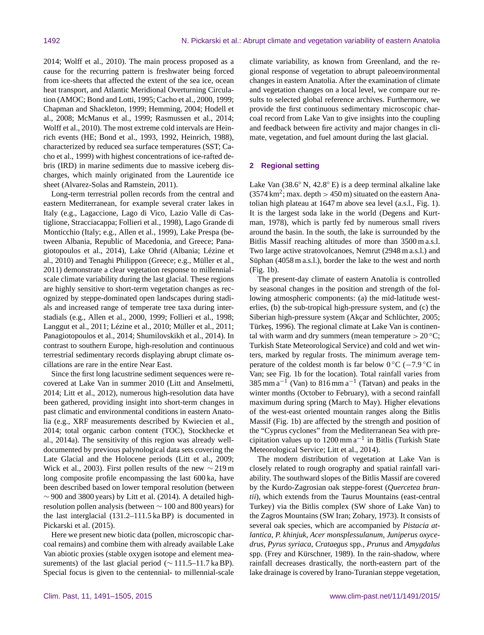2014; Wolff et al., 2010). The main process proposed as a cause for the recurring pattern is freshwater being forced from ice-sheets that affected the extent of the sea ice, ocean heat transport, and Atlantic Meridional Overturning Circulation (AMOC; Bond and Lotti, 1995; Cacho et al., 2000, 1999; Chapman and Shackleton, 1999; Hemming, 2004; Hodell et al., 2008; McManus et al., 1999; Rasmussen et al., 2014; Wolff et al., 2010). The most extreme cold intervals are Heinrich events (HE; Bond et al., 1993, 1992, Heinrich, 1988), characterized by reduced sea surface temperatures (SST; Cacho et al., 1999) with highest concentrations of ice-rafted debris (IRD) in marine sediments due to massive iceberg discharges, which mainly originated from the Laurentide ice sheet (Alvarez-Solas and Ramstein, 2011).

Long-term terrestrial pollen records from the central and eastern Mediterranean, for example several crater lakes in Italy (e.g., Lagaccione, Lago di Vico, Lazio Valle di Castiglione, Stracciacappa; Follieri et al., 1998), Lago Grande di Monticchio (Italy; e.g., Allen et al., 1999), Lake Prespa (between Albania, Republic of Macedonia, and Greece; Panagiotopoulos et al., 2014), Lake Ohrid (Albania; Lézine et al., 2010) and Tenaghi Philippon (Greece; e.g., Müller et al., 2011) demonstrate a clear vegetation response to millennialscale climate variability during the last glacial. These regions are highly sensitive to short-term vegetation changes as recognized by steppe-dominated open landscapes during stadials and increased range of temperate tree taxa during interstadials (e.g., Allen et al., 2000, 1999; Follieri et al., 1998; Langgut et al., 2011; Lézine et al., 2010; Müller et al., 2011; Panagiotopoulos et al., 2014; Shumilovskikh et al., 2014). In contrast to southern Europe, high-resolution and continuous terrestrial sedimentary records displaying abrupt climate oscillations are rare in the entire Near East.

Since the first long lacustrine sediment sequences were recovered at Lake Van in summer 2010 (Litt and Anselmetti, 2014; Litt et al., 2012), numerous high-resolution data have been gathered, providing insight into short-term changes in past climatic and environmental conditions in eastern Anatolia (e.g., XRF measurements described by Kwiecien et al., 2014; total organic carbon content (TOC), Stockhecke et al., 2014a). The sensitivity of this region was already welldocumented by previous palynological data sets covering the Late Glacial and the Holocene periods (Litt et al., 2009; Wick et al., 2003). First pollen results of the new  $\sim$  219 m long composite profile encompassing the last 600 ka, have been described based on lower temporal resolution (between  $\sim$  900 and 3800 years) by Litt et al. (2014). A detailed highresolution pollen analysis (between ∼ 100 and 800 years) for the last interglacial (131.2–111.5 ka BP) is documented in Pickarski et al. (2015).

Here we present new biotic data (pollen, microscopic charcoal remains) and combine them with already available Lake Van abiotic proxies (stable oxygen isotope and element measurements) of the last glacial period ( $\sim$  111.5–11.7 ka BP). Special focus is given to the centennial- to millennial-scale climate variability, as known from Greenland, and the regional response of vegetation to abrupt paleoenvironmental changes in eastern Anatolia. After the examination of climate and vegetation changes on a local level, we compare our results to selected global reference archives. Furthermore, we provide the first continuous sedimentary microscopic charcoal record from Lake Van to give insights into the coupling and feedback between fire activity and major changes in climate, vegetation, and fuel amount during the last glacial.

#### **2 Regional setting**

Lake Van (38.6◦ N, 42.8◦ E) is a deep terminal alkaline lake  $(3574 \text{ km}^2; \text{max. depth} > 450 \text{ m})$  situated on the eastern Anatolian high plateau at 1647 m above sea level (a.s.l., Fig. 1). It is the largest soda lake in the world (Degens and Kurtman, 1978), which is partly fed by numerous small rivers around the basin. In the south, the lake is surrounded by the Bitlis Massif reaching altitudes of more than 3500 m a.s.l. Two large active stratovolcanoes, Nemrut (2948 m a.s.l.) and Süphan (4058 m a.s.l.), border the lake to the west and north (Fig. 1b).

The present-day climate of eastern Anatolia is controlled by seasonal changes in the position and strength of the following atmospheric components: (a) the mid-latitude westerlies, (b) the sub-tropical high-pressure system, and (c) the Siberian high-pressure system (Akçar and Schlüchter, 2005; Türkeş, 1996). The regional climate at Lake Van is continental with warm and dry summers (mean temperature  $> 20 °C$ ; Turkish State Meteorological Service) and cold and wet winters, marked by regular frosts. The minimum average temperature of the coldest month is far below  $0^{\circ}C$  (−7.9 °C in Van; see Fig. 1b for the location). Total rainfall varies from 385 mm  $a^{-1}$  (Van) to 816 mm  $a^{-1}$  (Tatvan) and peaks in the winter months (October to February), with a second rainfall maximum during spring (March to May). Higher elevations of the west-east oriented mountain ranges along the Bitlis Massif (Fig. 1b) are affected by the strength and position of the "Cyprus cyclones" from the Mediterranean Sea with precipitation values up to 1200 mm  $a^{-1}$  in Bitlis (Turkish State Meteorological Service; Litt et al., 2014).

The modern distribution of vegetation at Lake Van is closely related to rough orography and spatial rainfall variability. The southward slopes of the Bitlis Massif are covered by the Kurdo-Zagrosian oak steppe-forest (*Quercetea brantii*), which extends from the Taurus Mountains (east-central Turkey) via the Bitlis complex (SW shore of Lake Van) to the Zagros Mountains (SW Iran; Zohary, 1973). It consists of several oak species, which are accompanied by *Pistacia atlantica*, *P. khinjuk*, *Acer monsplessulanum*, *Juniperus oxycedrus*, *Pyrus syriaca*, *Crataegus* spp., *Prunus* and *Amygdalus* spp. (Frey and Kürschner, 1989). In the rain-shadow, where rainfall decreases drastically, the north-eastern part of the lake drainage is covered by Irano-Turanian steppe vegetation,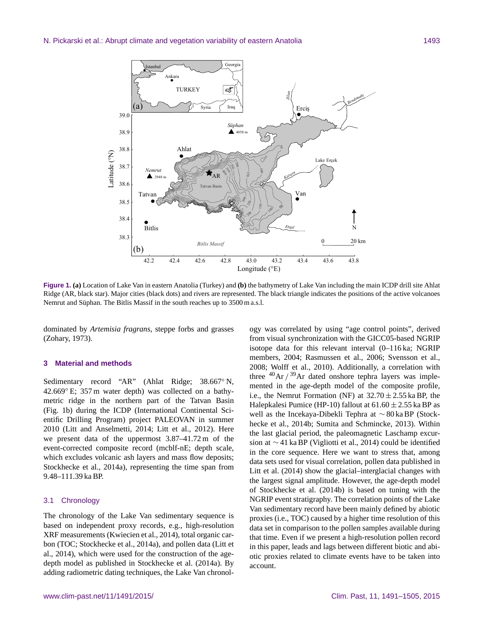

**Figure 1. (a)** Location of Lake Van in eastern Anatolia (Turkey) and **(b)** the bathymetry of Lake Van including the main ICDP drill site Ahlat Ridge (AR, black star). Major cities (black dots) and rivers are represented. The black triangle indicates the positions of the active volcanoes Nemrut and Süphan. The Bitlis Massif in the south reaches up to 3500 m a.s.l.

dominated by *Artemisia fragrans*, steppe forbs and grasses (Zohary, 1973).

#### **3 Material and methods**

Sedimentary record "AR" (Ahlat Ridge; 38.667◦ N, 42.669◦ E; 357 m water depth) was collected on a bathymetric ridge in the northern part of the Tatvan Basin (Fig. 1b) during the ICDP (International Continental Scientific Drilling Program) project PALEOVAN in summer 2010 (Litt and Anselmetti, 2014; Litt et al., 2012). Here we present data of the uppermost 3.87–41.72 m of the event-corrected composite record (mcblf-nE; depth scale, which excludes volcanic ash layers and mass flow deposits; Stockhecke et al., 2014a), representing the time span from 9.48–111.39 ka BP.

## 3.1 Chronology

The chronology of the Lake Van sedimentary sequence is based on independent proxy records, e.g., high-resolution XRF measurements (Kwiecien et al., 2014), total organic carbon (TOC; Stockhecke et al., 2014a), and pollen data (Litt et al., 2014), which were used for the construction of the agedepth model as published in Stockhecke et al. (2014a). By adding radiometric dating techniques, the Lake Van chronol-

ogy was correlated by using "age control points", derived from visual synchronization with the GICC05-based NGRIP isotope data for this relevant interval (0–116 ka; NGRIP members, 2004; Rasmussen et al., 2006; Svensson et al., 2008; Wolff et al., 2010). Additionally, a correlation with three  $^{40}$ Ar  $/$ <sup>39</sup>Ar dated onshore tephra layers was implemented in the age-depth model of the composite profile, i.e., the Nemrut Formation (NF) at  $32.70 \pm 2.55$  ka BP, the Halepkalesi Pumice (HP-10) fallout at  $61.60 \pm 2.55$  ka BP as well as the Incekaya-Dibekli Tephra at ∼ 80 ka BP (Stockhecke et al., 2014b; Sumita and Schmincke, 2013). Within the last glacial period, the paleomagnetic Laschamp excursion at ∼ 41 ka BP (Vigliotti et al., 2014) could be identified in the core sequence. Here we want to stress that, among data sets used for visual correlation, pollen data published in Litt et al. (2014) show the glacial–interglacial changes with the largest signal amplitude. However, the age-depth model of Stockhecke et al. (2014b) is based on tuning with the NGRIP event stratigraphy. The correlation points of the Lake Van sedimentary record have been mainly defined by abiotic proxies (i.e., TOC) caused by a higher time resolution of this data set in comparison to the pollen samples available during that time. Even if we present a high-resolution pollen record in this paper, leads and lags between different biotic and abiotic proxies related to climate events have to be taken into account.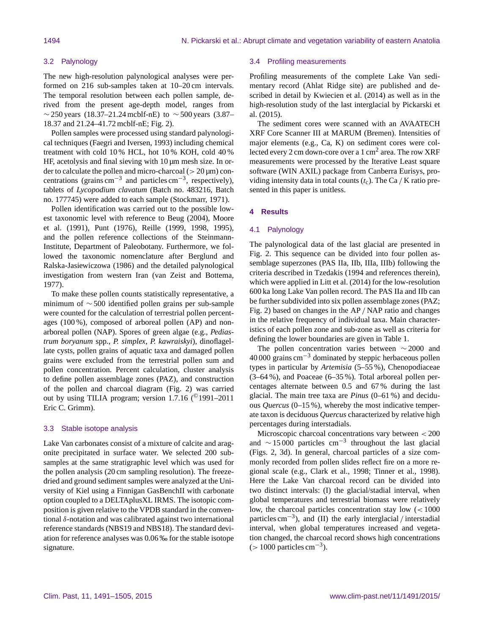## 3.2 Palynology

The new high-resolution palynological analyses were performed on 216 sub-samples taken at 10–20 cm intervals. The temporal resolution between each pollen sample, derived from the present age-depth model, ranges from  $\sim$  250 years (18.37–21.24 mcblf-nE) to  $\sim$  500 years (3.87– 18.37 and 21.24–41.72 mcblf-nE; Fig. 2).

Pollen samples were processed using standard palynological techniques (Faegri and Iversen, 1993) including chemical treatment with cold 10 % HCL, hot 10 % KOH, cold 40 % HF, acetolysis and final sieving with  $10 \mu m$  mesh size. In order to calculate the pollen and micro-charcoal ( $> 20 \mu m$ ) concentrations (grains cm<sup>-3</sup> and particles cm<sup>-3</sup>, respectively), tablets of *Lycopodium clavatum* (Batch no. 483216, Batch no. 177745) were added to each sample (Stockmarr, 1971).

Pollen identification was carried out to the possible lowest taxonomic level with reference to Beug (2004), Moore et al. (1991), Punt (1976), Reille (1999, 1998, 1995), and the pollen reference collections of the Steinmann-Institute, Department of Paleobotany. Furthermore, we followed the taxonomic nomenclature after Berglund and Ralska-Jasiewiczowa (1986) and the detailed palynological investigation from western Iran (van Zeist and Bottema, 1977).

To make these pollen counts statistically representative, a minimum of ∼ 500 identified pollen grains per sub-sample were counted for the calculation of terrestrial pollen percentages (100 %), composed of arboreal pollen (AP) and nonarboreal pollen (NAP). Spores of green algae (e.g., *Pediastrum boryanum* spp., *P. simplex*, *P. kawraiskyi*), dinoflagellate cysts, pollen grains of aquatic taxa and damaged pollen grains were excluded from the terrestrial pollen sum and pollen concentration. Percent calculation, cluster analysis to define pollen assemblage zones (PAZ), and construction of the pollen and charcoal diagram (Fig. 2) was carried out by using TILIA program; version 1.7.16 (©1991–2011 Eric C. Grimm).

## 3.3 Stable isotope analysis

Lake Van carbonates consist of a mixture of calcite and aragonite precipitated in surface water. We selected 200 subsamples at the same stratigraphic level which was used for the pollen analysis (20 cm sampling resolution). The freezedried and ground sediment samples were analyzed at the University of Kiel using a Finnigan GasBenchII with carbonate option coupled to a DELTAplusXL IRMS. The isotopic composition is given relative to the VPDB standard in the conventional δ-notation and was calibrated against two international reference standards (NBS19 and NBS18). The standard deviation for reference analyses was 0.06 ‰ for the stable isotope signature.

#### 3.4 Profiling measurements

Profiling measurements of the complete Lake Van sedimentary record (Ahlat Ridge site) are published and described in detail by Kwiecien et al. (2014) as well as in the high-resolution study of the last interglacial by Pickarski et al. (2015).

The sediment cores were scanned with an AVAATECH XRF Core Scanner III at MARUM (Bremen). Intensities of major elements (e.g., Ca, K) on sediment cores were collected every 2 cm down-core over a 1 cm<sup>2</sup> area. The row XRF measurements were processed by the Iterative Least square software (WIN AXIL) package from Canberra Eurisys, providing intensity data in total counts  $(t_c)$ . The Ca / K ratio presented in this paper is unitless.

## **4 Results**

## 4.1 Palynology

The palynological data of the last glacial are presented in Fig. 2. This sequence can be divided into four pollen assemblage superzones (PAS IIa, IIb, IIIa, IIIb) following the criteria described in Tzedakis (1994 and references therein), which were applied in Litt et al. (2014) for the low-resolution 600 ka long Lake Van pollen record. The PAS IIa and IIb can be further subdivided into six pollen assemblage zones (PAZ; Fig. 2) based on changes in the AP / NAP ratio and changes in the relative frequency of individual taxa. Main characteristics of each pollen zone and sub-zone as well as criteria for defining the lower boundaries are given in Table 1.

The pollen concentration varies between ∼ 2000 and  $40,000$  grains cm<sup>-3</sup> dominated by steppic herbaceous pollen types in particular by *Artemisia* (5–55 %), Chenopodiaceae (3–64 %), and Poaceae (6–35 %). Total arboreal pollen percentages alternate between 0.5 and 67 % during the last glacial. The main tree taxa are *Pinus* (0–61 %) and deciduous *Quercus* (0–15 %), whereby the most indicative temperate taxon is deciduous *Quercus* characterized by relative high percentages during interstadials.

Microscopic charcoal concentrations vary between < 200 and  $\sim$  15 000 particles cm<sup>-3</sup> throughout the last glacial (Figs. 2, 3d). In general, charcoal particles of a size commonly recorded from pollen slides reflect fire on a more regional scale (e.g., Clark et al., 1998; Tinner et al., 1998). Here the Lake Van charcoal record can be divided into two distinct intervals: (I) the glacial/stadial interval, when global temperatures and terrestrial biomass were relatively low, the charcoal particles concentration stay low (< 1000 particles cm−<sup>3</sup> ), and (II) the early interglacial / interstadial interval, when global temperatures increased and vegetation changed, the charcoal record shows high concentrations  $(> 1000 \,\text{particles cm}^{-3}).$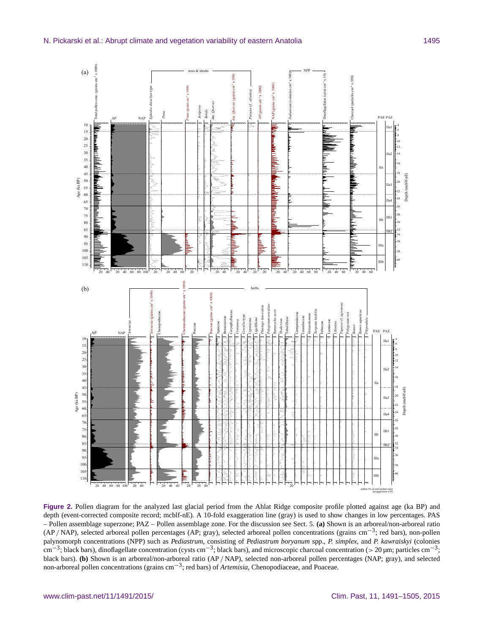

**Figure 2.** Pollen diagram for the analyzed last glacial period from the Ahlat Ridge composite profile plotted against age (ka BP) and depth (event-corrected composite record; mcblf-nE). A 10-fold exaggeration line (gray) is used to show changes in low percentages. PAS – Pollen assemblage superzone; PAZ – Pollen assemblage zone. For the discussion see Sect. 5. **(a)** Shown is an arboreal/non-arboreal ratio (AP / NAP), selected arboreal pollen percentages (AP; gray), selected arboreal pollen concentrations (grains cm−<sup>3</sup> ; red bars), non-pollen palynomorph concentrations (NPP) such as *Pediastrum*, consisting of *Pediastrum boryanum* spp., *P. simplex*, and *P. kawraiskyi* (colonies cm<sup>-3</sup>; black bars), dinoflagellate concentration (cysts cm<sup>-3</sup>; black bars), and microscopic charcoal concentration (> 20 µm; particles cm<sup>-3</sup>; black bars). **(b)** Shown is an arboreal/non-arboreal ratio (AP / NAP), selected non-arboreal pollen percentages (NAP; gray), and selected non-arboreal pollen concentrations (grains cm−<sup>3</sup> ; red bars) of *Artemisia*, Chenopodiaceae, and Poaceae.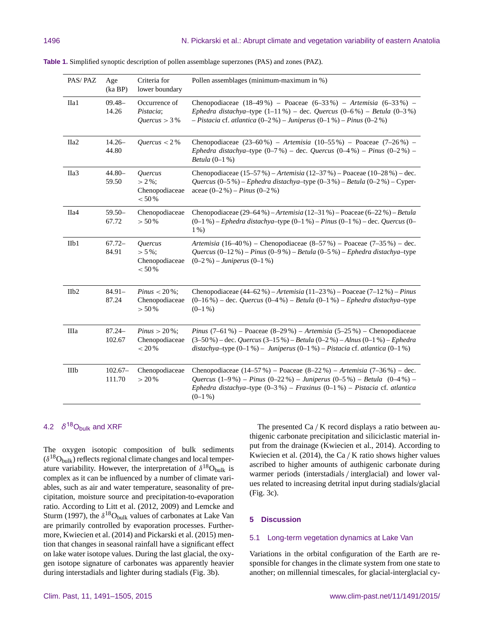| PAS/PAZ          | Age<br>(ka BP)      | Criteria for<br>lower boundary                          | Pollen assemblages (minimum-maximum in %)                                                                                                                                                                                                                                                    |
|------------------|---------------------|---------------------------------------------------------|----------------------------------------------------------------------------------------------------------------------------------------------------------------------------------------------------------------------------------------------------------------------------------------------|
| IIa1             | $09.48 -$<br>14.26  | Occurrence of<br>Pistacia;<br>Quercus $>$ 3%            | Chenopodiaceae $(18-49\%)$ – Poaceae $(6-33\%)$ – Artemisia $(6-33\%)$ –<br>Ephedra distachya-type $(1-11\%)$ - dec. Quercus $(0-6\%)$ - Betula $(0-3\%)$<br>$- Pistacia$ cf. atlantica (0–2 %) – Juniperus (0–1 %) – Pinus (0–2 %)                                                          |
| IIa <sub>2</sub> | $14.26 -$<br>44.80  | Quercus $<$ 2%                                          | Chenopodiaceae $(23-60\%)$ – Artemisia $(10-55\%)$ – Poaceae $(7-26\%)$ –<br>Ephedra distachya-type $(0-7%)$ – dec. Quercus $(0-4%)$ – Pinus $(0-2%)$ –<br>Betula $(0-1\%)$                                                                                                                  |
| IIa <sub>3</sub> | $44.80 -$<br>59.50  | Quercus<br>$> 2\%$ ;<br>Chenopodiaceae<br>< 50 %        | Chenopodiaceae (15-57 %) - Artemisia (12-37 %) - Poaceae (10-28 %) - dec.<br>Quercus (0-5 %) - Ephedra distachya-type (0-3 %) - Betula (0-2 %) - Cyper-<br>aceae $(0-2\%)$ – Pinus $(0-2\%)$                                                                                                 |
| IIa4             | $59.50-$<br>67.72   | Chenopodiaceae<br>> 50%                                 | Chenopodiaceae (29–64 %) – Artemisia (12–31 %) – Poaceae (6–22 %) – Betula<br>$(0-1\%)$ - Ephedra distachya-type $(0-1\%)$ - Pinus $(0-1\%)$ - dec. Quercus $(0-$<br>$1\%$ )                                                                                                                 |
| IIb1             | $67.72-$<br>84.91   | <b>Ouercus</b><br>$> 5\%$ ;<br>Chenopodiaceae<br>< 50 % | Artemisia (16–40%) – Chenopodiaceae (8–57%) – Poaceae (7–35%) – dec.<br>Quercus $(0-12\%)$ – Pinus $(0-9\%)$ – Betula $(0-5\%)$ – Ephedra distachya-type<br>$(0-2\%)$ – Juniperus $(0-1\%)$                                                                                                  |
| IIb <sub>2</sub> | $84.91 -$<br>87.24  | <i>Pinus</i> < $20\%$ ;<br>Chenopodiaceae<br>$> 50%$    | Chenopodiaceae $(44–62\%)$ – Artemisia $(11–23\%)$ – Poaceae $(7–12\%)$ – Pinus<br>$(0-16\%)$ – dec. <i>Quercus</i> $(0-4\%)$ – <i>Betula</i> $(0-1\%)$ – <i>Ephedra distachya</i> -type<br>$(0-1\%)$                                                                                        |
| IIIa             | $87.24 -$<br>102.67 | <i>Pinus</i> $> 20\%$ ;<br>Chenopodiaceae<br>$< 20 %$   | <i>Pinus</i> $(7-61\%)$ – Poaceae $(8-29\%)$ – Artemisia $(5-25\%)$ – Chenopodiaceae<br>$(3-50\%)$ – dec. <i>Quercus</i> $(3-15\%)$ – <i>Betula</i> $(0-2\%)$ – <i>Alnus</i> $(0-1\%)$ – <i>Ephedra</i><br>distachya-type $(0-1\%)$ - Juniperus $(0-1\%)$ - Pistacia cf. atlantica $(0-1\%)$ |
| IIIb             | $102.67-$<br>111.70 | Chenopodiaceae<br>> 20%                                 | Chenopodiaceae $(14-57%)$ – Poaceae $(8-22%)$ – Artemisia $(7-36%)$ – dec.<br>Quercus $(1-9\%)$ – Pinus $(0-22\%)$ – Juniperus $(0-5\%)$ – Betula $(0-4\%)$ –<br>Ephedra distachya-type $(0-3\%)$ - Fraxinus $(0-1\%)$ - Pistacia cf. atlantica<br>$(0-1\%)$                                 |

**Table 1.** Simplified synoptic description of pollen assemblage superzones (PAS) and zones (PAZ).

## 4.2  $\delta^{18}$ O<sub>bulk</sub> and XRF

The oxygen isotopic composition of bulk sediments  $(\delta^{18}O_{bulk})$  reflects regional climate changes and local temperature variability. However, the interpretation of  $\delta^{18}O_{bulk}$  is complex as it can be influenced by a number of climate variables, such as air and water temperature, seasonality of precipitation, moisture source and precipitation-to-evaporation ratio. According to Litt et al. (2012, 2009) and Lemcke and Sturm (1997), the  $\delta^{18}O_{bulk}$  values of carbonates at Lake Van are primarily controlled by evaporation processes. Furthermore, Kwiecien et al. (2014) and Pickarski et al. (2015) mention that changes in seasonal rainfall have a significant effect on lake water isotope values. During the last glacial, the oxygen isotope signature of carbonates was apparently heavier during interstadials and lighter during stadials (Fig. 3b).

The presented Ca / K record displays a ratio between authigenic carbonate precipitation and siliciclastic material input from the drainage (Kwiecien et al., 2014). According to Kwiecien et al.  $(2014)$ , the Ca / K ratio shows higher values ascribed to higher amounts of authigenic carbonate during warmer periods (interstadials / interglacial) and lower values related to increasing detrital input during stadials/glacial (Fig. 3c).

## **5 Discussion**

#### 5.1 Long-term vegetation dynamics at Lake Van

Variations in the orbital configuration of the Earth are responsible for changes in the climate system from one state to another; on millennial timescales, for glacial-interglacial cy-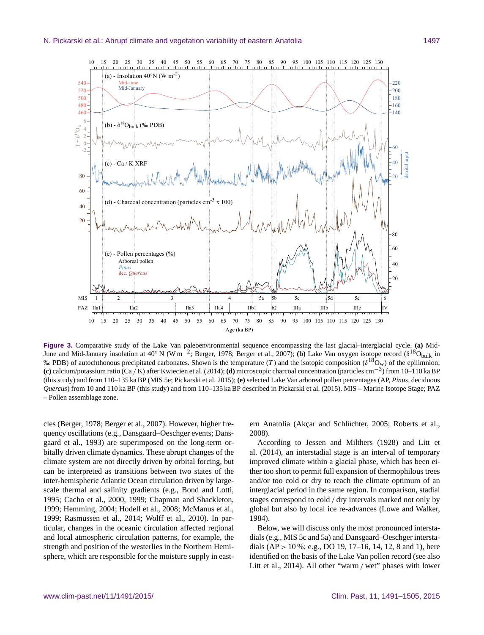

**Figure 3.** Comparative study of the Lake Van paleoenvironmental sequence encompassing the last glacial–interglacial cycle. **(a)** Mid-June and Mid-January insolation at 40 $^{\circ}$  N (W m<sup>-2</sup>; Berger, 1978; Berger et al., 2007); (b) Lake Van oxygen isotope record ( $\delta^{18}$ O<sub>bulk</sub> in % PDB) of autochthonous precipitated carbonates. Shown is the temperature (T) and the isotopic composition ( $\delta^{18}O_w$ ) of the epilimnion; **(c)** calcium/potassium ratio (Ca / K) after Kwiecien et al. (2014); **(d)** microscopic charcoal concentration (particles cm−<sup>3</sup> ) from 10–110 ka BP (this study) and from 110–135 ka BP (MIS 5e; Pickarski et al. 2015); **(e)** selected Lake Van arboreal pollen percentages (AP, *Pinus*, deciduous *Quercus*) from 10 and 110 ka BP (this study) and from 110–135 ka BP described in Pickarski et al. (2015). MIS – Marine Isotope Stage; PAZ – Pollen assemblage zone.

cles (Berger, 1978; Berger et al., 2007). However, higher frequency oscillations (e.g., Dansgaard–Oeschger events; Dansgaard et al., 1993) are superimposed on the long-term orbitally driven climate dynamics. These abrupt changes of the climate system are not directly driven by orbital forcing, but can be interpreted as transitions between two states of the inter-hemispheric Atlantic Ocean circulation driven by largescale thermal and salinity gradients (e.g., Bond and Lotti, 1995; Cacho et al., 2000, 1999; Chapman and Shackleton, 1999; Hemming, 2004; Hodell et al., 2008; McManus et al., 1999; Rasmussen et al., 2014; Wolff et al., 2010). In particular, changes in the oceanic circulation affected regional and local atmospheric circulation patterns, for example, the strength and position of the westerlies in the Northern Hemisphere, which are responsible for the moisture supply in eastern Anatolia (Akçar and Schlüchter, 2005; Roberts et al., 2008).

According to Jessen and Milthers (1928) and Litt et al. (2014), an interstadial stage is an interval of temporary improved climate within a glacial phase, which has been either too short to permit full expansion of thermophilous trees and/or too cold or dry to reach the climate optimum of an interglacial period in the same region. In comparison, stadial stages correspond to cold / dry intervals marked not only by global but also by local ice re-advances (Lowe and Walker, 1984).

Below, we will discuss only the most pronounced interstadials (e.g., MIS 5c and 5a) and Dansgaard–Oeschger interstadials (AP > 10 %; e.g., DO 19, 17–16, 14, 12, 8 and 1), here identified on the basis of the Lake Van pollen record (see also Litt et al., 2014). All other "warm / wet" phases with lower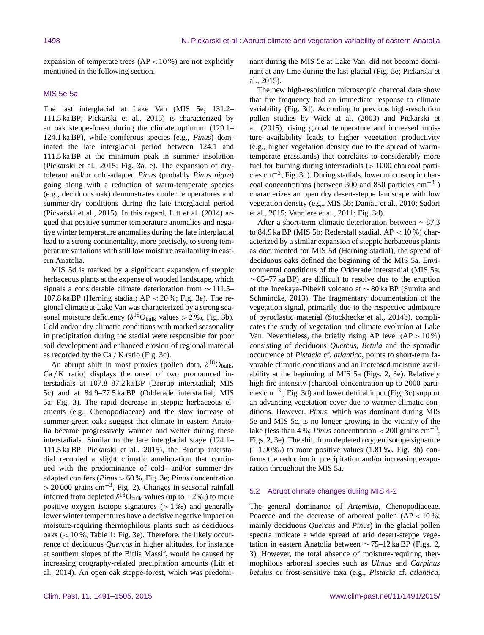expansion of temperate trees  $AP < 10\%$  are not explicitly mentioned in the following section.

## MIS 5e-5a

The last interglacial at Lake Van (MIS 5e; 131.2– 111.5 ka BP; Pickarski et al., 2015) is characterized by an oak steppe-forest during the climate optimum (129.1– 124.1 ka BP), while coniferous species (e.g., *Pinus*) dominated the late interglacial period between 124.1 and 111.5 ka BP at the minimum peak in summer insolation (Pickarski et al., 2015; Fig. 3a, e). The expansion of drytolerant and/or cold-adapted *Pinus* (probably *Pinus nigra*) going along with a reduction of warm-temperate species (e.g., deciduous oak) demonstrates cooler temperatures and summer-dry conditions during the late interglacial period (Pickarski et al., 2015). In this regard, Litt et al. (2014) argued that positive summer temperature anomalies and negative winter temperature anomalies during the late interglacial lead to a strong continentality, more precisely, to strong temperature variations with still low moisture availability in eastern Anatolia.

MIS 5d is marked by a significant expansion of steppic herbaceous plants at the expense of wooded landscape, which signals a considerable climate deterioration from ∼ 111.5– 107.8 ka BP (Herning stadial;  $AP < 20\%$ ; Fig. 3e). The regional climate at Lake Van was characterized by a strong seasonal moisture deficiency ( $\delta^{18}$ O<sub>bulk</sub> values > 2 ‰, Fig. 3b). Cold and/or dry climatic conditions with marked seasonality in precipitation during the stadial were responsible for poor soil development and enhanced erosion of regional material as recorded by the Ca / K ratio (Fig. 3c).

An abrupt shift in most proxies (pollen data,  $\delta^{18}O_{bulk}$ ,  $Ca/K$  ratio) displays the onset of two pronounced interstadials at 107.8–87.2 ka BP (Brørup interstadial; MIS 5c) and at 84.9–77.5 ka BP (Odderade interstadial; MIS 5a; Fig. 3). The rapid decrease in steppic herbaceous elements (e.g., Chenopodiaceae) and the slow increase of summer-green oaks suggest that climate in eastern Anatolia became progressively warmer and wetter during these interstadials. Similar to the late interglacial stage (124.1– 111.5 ka BP; Pickarski et al., 2015), the Brørup interstadial recorded a slight climatic amelioration that continued with the predominance of cold- and/or summer-dry adapted conifers (*Pinus* > 60 %, Fig. 3e; *Pinus* concentration > 20 000 grains cm<sup>-3</sup>, Fig. 2). Changes in seasonal rainfall inferred from depleted  $\delta^{18}O_{bulk}$  values (up to  $-2$  ‰) to more positive oxygen isotope signatures  $(> 1\%)$  and generally lower winter temperatures have a decisive negative impact on moisture-requiring thermophilous plants such as deciduous oaks (< 10 %, Table 1; Fig. 3e). Therefore, the likely occurrence of deciduous *Quercus* in higher altitudes, for instance at southern slopes of the Bitlis Massif, would be caused by increasing orography-related precipitation amounts (Litt et al., 2014). An open oak steppe-forest, which was predominant during the MIS 5e at Lake Van, did not become dominant at any time during the last glacial (Fig. 3e; Pickarski et al., 2015).

The new high-resolution microscopic charcoal data show that fire frequency had an immediate response to climate variability (Fig. 3d). According to previous high-resolution pollen studies by Wick at al. (2003) and Pickarski et al. (2015), rising global temperature and increased moisture availability leads to higher vegetation productivity (e.g., higher vegetation density due to the spread of warmtemperate grasslands) that correlates to considerably more fuel for burning during interstadials ( $> 1000$  charcoal particles cm−<sup>3</sup> ; Fig. 3d). During stadials, lower microscopic charcoal concentrations (between 300 and 850 particles  $cm^{-3}$ ) characterizes an open dry desert-steppe landscape with low vegetation density (e.g., MIS 5b; Daniau et al., 2010; Sadori et al., 2015; Vanniere et al., 2011; Fig. 3d).

After a short-term climatic deterioration between ∼ 87.3 to 84.9 ka BP (MIS 5b; Rederstall stadial,  $AP < 10\%$ ) characterized by a similar expansion of steppic herbaceous plants as documented for MIS 5d (Herning stadial), the spread of deciduous oaks defined the beginning of the MIS 5a. Environmental conditions of the Odderade interstadial (MIS 5a;  $\sim$  85–77 ka BP) are difficult to resolve due to the eruption of the Incekaya-Dibekli volcano at ∼ 80 ka BP (Sumita and Schmincke, 2013). The fragmentary documentation of the vegetation signal, primarily due to the respective admixture of pyroclastic material (Stockhecke et al., 2014b), complicates the study of vegetation and climate evolution at Lake Van. Nevertheless, the briefly rising AP level  $AP > 10\%$ ) consisting of deciduous *Quercus*, *Betula* and the sporadic occurrence of *Pistacia* cf. *atlantica*, points to short-term favorable climatic conditions and an increased moisture availability at the beginning of MIS 5a (Figs. 2, 3e). Relatively high fire intensity (charcoal concentration up to 2000 particles cm−<sup>3</sup> ; Fig. 3d) and lower detrital input (Fig. 3c) support an advancing vegetation cover due to warmer climatic conditions. However, *Pinus*, which was dominant during MIS 5e and MIS 5c, is no longer growing in the vicinity of the lake (less than 4 %; *Pinus* concentration < 200 grains  $\text{cm}^{-3}$ , Figs. 2, 3e). The shift from depleted oxygen isotope signature (−1.90 ‰) to more positive values (1.81 ‰, Fig. 3b) confirms the reduction in precipitation and/or increasing evaporation throughout the MIS 5a.

#### 5.2 Abrupt climate changes during MIS 4-2

The general dominance of *Artemisia*, Chenopodiaceae, Poaceae and the decrease of arboreal pollen  $AP < 10\%$ ; mainly deciduous *Quercus* and *Pinus*) in the glacial pollen spectra indicate a wide spread of arid desert-steppe vegetation in eastern Anatolia between  $\sim$  75–12 ka BP (Figs. 2, 3). However, the total absence of moisture-requiring thermophilous arboreal species such as *Ulmus* and *Carpinus betulus* or frost-sensitive taxa (e.g., *Pistacia* cf. *atlantica*,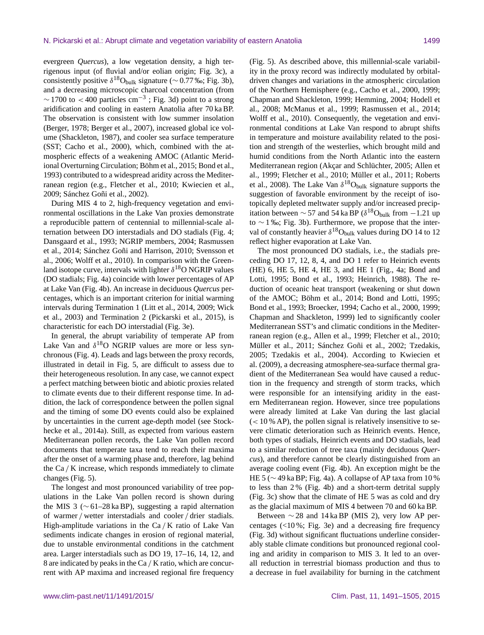evergreen *Quercus*), a low vegetation density, a high terrigenous input (of fluvial and/or eolian origin; Fig. 3c), a consistently positive  $\delta^{18}O_{bulk}$  signature (~0.77 ‰; Fig. 3b), and a decreasing microscopic charcoal concentration (from  $\sim$  1700 to < 400 particles cm<sup>-3</sup>; Fig. 3d) point to a strong aridification and cooling in eastern Anatolia after 70 ka BP. The observation is consistent with low summer insolation (Berger, 1978; Berger et al., 2007), increased global ice volume (Shackleton, 1987), and cooler sea surface temperature (SST; Cacho et al., 2000), which, combined with the atmospheric effects of a weakening AMOC (Atlantic Meridional Overturning Circulation; Böhm et al., 2015; Bond et al., 1993) contributed to a widespread aridity across the Mediterranean region (e.g., Fletcher et al., 2010; Kwiecien et al., 2009; Sánchez Goñi et al., 2002).

During MIS 4 to 2, high-frequency vegetation and environmental oscillations in the Lake Van proxies demonstrate a reproducible pattern of centennial to millennial-scale alternation between DO interstadials and DO stadials (Fig. 4; Dansgaard et al., 1993; NGRIP members, 2004; Rasmussen et al., 2014; Sánchez Goñi and Harrison, 2010; Svensson et al., 2006; Wolff et al., 2010). In comparison with the Greenland isotope curve, intervals with lighter  $\delta^{18}O$  NGRIP values (DO stadials; Fig. 4a) coincide with lower percentages of AP at Lake Van (Fig. 4b). An increase in deciduous *Quercus* percentages, which is an important criterion for initial warming intervals during Termination 1 (Litt et al., 2014, 2009; Wick et al., 2003) and Termination 2 (Pickarski et al., 2015), is characteristic for each DO interstadial (Fig. 3e).

In general, the abrupt variability of temperate AP from Lake Van and  $\delta^{18}O$  NGRIP values are more or less synchronous (Fig. 4). Leads and lags between the proxy records, illustrated in detail in Fig. 5, are difficult to assess due to their heterogeneous resolution. In any case, we cannot expect a perfect matching between biotic and abiotic proxies related to climate events due to their different response time. In addition, the lack of correspondence between the pollen signal and the timing of some DO events could also be explained by uncertainties in the current age-depth model (see Stockhecke et al., 2014a). Still, as expected from various eastern Mediterranean pollen records, the Lake Van pollen record documents that temperate taxa tend to reach their maxima after the onset of a warming phase and, therefore, lag behind the Ca / K increase, which responds immediately to climate changes (Fig. 5).

The longest and most pronounced variability of tree populations in the Lake Van pollen record is shown during the MIS 3 (∼ 61–28 ka BP), suggesting a rapid alternation of warmer / wetter interstadials and cooler / drier stadials. High-amplitude variations in the  $Ca/K$  ratio of Lake Van sediments indicate changes in erosion of regional material, due to unstable environmental conditions in the catchment area. Larger interstadials such as DO 19, 17–16, 14, 12, and 8 are indicated by peaks in the Ca / K ratio, which are concurrent with AP maxima and increased regional fire frequency (Fig. 5). As described above, this millennial-scale variability in the proxy record was indirectly modulated by orbitaldriven changes and variations in the atmospheric circulation of the Northern Hemisphere (e.g., Cacho et al., 2000, 1999; Chapman and Shackleton, 1999; Hemming, 2004; Hodell et al., 2008; McManus et al., 1999; Rasmussen et al., 2014; Wolff et al., 2010). Consequently, the vegetation and environmental conditions at Lake Van respond to abrupt shifts in temperature and moisture availability related to the position and strength of the westerlies, which brought mild and humid conditions from the North Atlantic into the eastern Mediterranean region (Akçar and Schlüchter, 2005; Allen et al., 1999; Fletcher et al., 2010; Müller et al., 2011; Roberts et al., 2008). The Lake Van  $\delta^{18}O_{bulk}$  signature supports the suggestion of favorable environment by the receipt of isotopically depleted meltwater supply and/or increased precipitation between  $\sim$  57 and 54 ka BP ( $\delta^{18}$ O<sub>bulk</sub> from −1.21 up to ∼ 1 ‰; Fig. 3b). Furthermore, we propose that the interval of constantly heavier  $\delta^{18}O_{bulk}$  values during DO 14 to 12 reflect higher evaporation at Lake Van.

The most pronounced DO stadials, i.e., the stadials preceding DO 17, 12, 8, 4, and DO 1 refer to Heinrich events (HE) 6, HE 5, HE 4, HE 3, and HE 1 (Fig., 4a; Bond and Lotti, 1995; Bond et al., 1993; Heinrich, 1988). The reduction of oceanic heat transport (weakening or shut down of the AMOC; Böhm et al., 2014; Bond and Lotti, 1995; Bond et al., 1993; Broecker, 1994; Cacho et al., 2000, 1999; Chapman and Shackleton, 1999) led to significantly cooler Mediterranean SST's and climatic conditions in the Mediterranean region (e.g., Allen et al., 1999; Fletcher et al., 2010; Müller et al., 2011; Sánchez Goñi et al., 2002; Tzedakis, 2005; Tzedakis et al., 2004). According to Kwiecien et al. (2009), a decreasing atmosphere-sea-surface thermal gradient of the Mediterranean Sea would have caused a reduction in the frequency and strength of storm tracks, which were responsible for an intensifying aridity in the eastern Mediterranean region. However, since tree populations were already limited at Lake Van during the last glacial  $(< 10 % AP$ ), the pollen signal is relatively insensitive to severe climatic deterioration such as Heinrich events. Hence, both types of stadials, Heinrich events and DO stadials, lead to a similar reduction of tree taxa (mainly deciduous *Quercus*), and therefore cannot be clearly distinguished from an average cooling event (Fig. 4b). An exception might be the HE 5 (∼ 49 ka BP; Fig. 4a). A collapse of AP taxa from 10 % to less than 2 % (Fig. 4b) and a short-term detrital supply (Fig. 3c) show that the climate of HE 5 was as cold and dry as the glacial maximum of MIS 4 between 70 and 60 ka BP.

Between  $\sim$  28 and 14 ka BP (MIS 2), very low AP percentages (<10 %; Fig. 3e) and a decreasing fire frequency (Fig. 3d) without significant fluctuations underline considerably stable climate conditions but pronounced regional cooling and aridity in comparison to MIS 3. It led to an overall reduction in terrestrial biomass production and thus to a decrease in fuel availability for burning in the catchment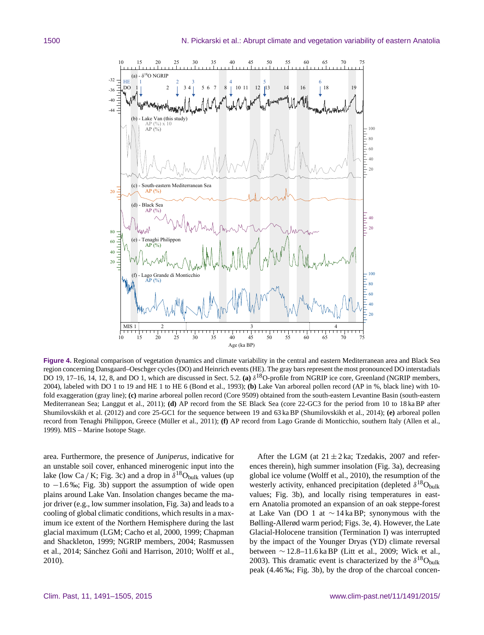

**Figure 4.** Regional comparison of vegetation dynamics and climate variability in the central and eastern Mediterranean area and Black Sea region concerning Dansgaard–Oeschger cycles (DO) and Heinrich events (HE). The gray bars represent the most pronounced DO interstadials DO 19, 17–16, 14, 12, 8, and DO 1, which are discussed in Sect. 5.2. (a)  $\delta^{18}O$ -profile from NGRIP ice core, Greenland (NGRIP members, 2004), labeled with DO 1 to 19 and HE 1 to HE 6 (Bond et al., 1993); **(b)** Lake Van arboreal pollen record (AP in %, black line) with 10 fold exaggeration (gray line); **(c)** marine arboreal pollen record (Core 9509) obtained from the south-eastern Levantine Basin (south-eastern Mediterranean Sea; Langgut et al., 2011); **(d)** AP record from the SE Black Sea (core 22-GC3 for the period from 10 to 18 ka BP after Shumilovskikh et al. (2012) and core 25-GC1 for the sequence between 19 and 63 ka BP (Shumilovskikh et al., 2014); **(e)** arboreal pollen record from Tenaghi Philippon, Greece (Müller et al., 2011); **(f)** AP record from Lago Grande di Monticchio, southern Italy (Allen et al., 1999). MIS – Marine Isotope Stage.

area. Furthermore, the presence of *Juniperus*, indicative for an unstable soil cover, enhanced minerogenic input into the lake (low Ca / K; Fig. 3c) and a drop in  $\delta^{18}O_{bulk}$  values (up to  $-1.6\%$ ; Fig. 3b) support the assumption of wide open plains around Lake Van. Insolation changes became the major driver (e.g., low summer insolation, Fig. 3a) and leads to a cooling of global climatic conditions, which results in a maximum ice extent of the Northern Hemisphere during the last glacial maximum (LGM; Cacho et al, 2000, 1999; Chapman and Shackleton, 1999; NGRIP members, 2004; Rasmussen et al., 2014; Sánchez Goñi and Harrison, 2010; Wolff et al., 2010).

After the LGM (at  $21 \pm 2$  ka; Tzedakis, 2007 and references therein), high summer insolation (Fig. 3a), decreasing global ice volume (Wolff et al., 2010), the resumption of the westerly activity, enhanced precipitation (depleted  $\delta^{18}$ O<sub>bulk</sub> values; Fig. 3b), and locally rising temperatures in eastern Anatolia promoted an expansion of an oak steppe-forest at Lake Van (DO 1 at ∼ 14 ka BP; synonymous with the Bølling-Allerød warm period; Figs. 3e, 4). However, the Late Glacial-Holocene transition (Termination I) was interrupted by the impact of the Younger Dryas (YD) climate reversal between ∼ 12.8–11.6 ka BP (Litt et al., 2009; Wick et al., 2003). This dramatic event is characterized by the  $\delta^{18}O_{bulk}$ peak (4.46 ‰; Fig. 3b), by the drop of the charcoal concen-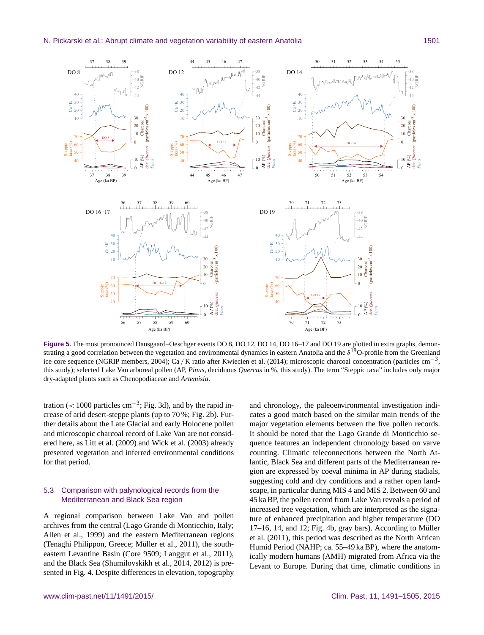

**Figure 5.** The most pronounced Dansgaard–Oeschger events DO 8, DO 12, DO 14, DO 16–17 and DO 19 are plotted in extra graphs, demonstrating a good correlation between the vegetation and environmental dynamics in eastern Anatolia and the  $\delta^{18}O$ -profile from the Greenland ice core sequence (NGRIP members, 2004); Ca / K ratio after Kwiecien et al. (2014); microscopic charcoal concentration (particles cm−<sup>3</sup> , this study); selected Lake Van arboreal pollen (AP, *Pinus*, deciduous *Quercus* in %, this study). The term "Steppic taxa" includes only major dry-adapted plants such as Chenopodiaceae and *Artemisia*.

tration (< 1000 particles  $cm^{-3}$ ; Fig. 3d), and by the rapid increase of arid desert-steppe plants (up to 70 %; Fig. 2b). Further details about the Late Glacial and early Holocene pollen and microscopic charcoal record of Lake Van are not considered here, as Litt et al. (2009) and Wick et al. (2003) already presented vegetation and inferred environmental conditions for that period.

## 5.3 Comparison with palynological records from the Mediterranean and Black Sea region

A regional comparison between Lake Van and pollen archives from the central (Lago Grande di Monticchio, Italy; Allen et al., 1999) and the eastern Mediterranean regions (Tenaghi Philippon, Greece; Müller et al., 2011), the southeastern Levantine Basin (Core 9509; Langgut et al., 2011), and the Black Sea (Shumilovskikh et al., 2014, 2012) is presented in Fig. 4. Despite differences in elevation, topography and chronology, the paleoenvironmental investigation indicates a good match based on the similar main trends of the major vegetation elements between the five pollen records. It should be noted that the Lago Grande di Monticchio sequence features an independent chronology based on varve counting. Climatic teleconnections between the North Atlantic, Black Sea and different parts of the Mediterranean region are expressed by coeval minima in AP during stadials, suggesting cold and dry conditions and a rather open landscape, in particular during MIS 4 and MIS 2. Between 60 and 45 ka BP, the pollen record from Lake Van reveals a period of increased tree vegetation, which are interpreted as the signature of enhanced precipitation and higher temperature (DO 17–16, 14, and 12; Fig. 4b, gray bars). According to Müller et al. (2011), this period was described as the North African Humid Period (NAHP; ca. 55–49 ka BP), where the anatomically modern humans (AMH) migrated from Africa via the Levant to Europe. During that time, climatic conditions in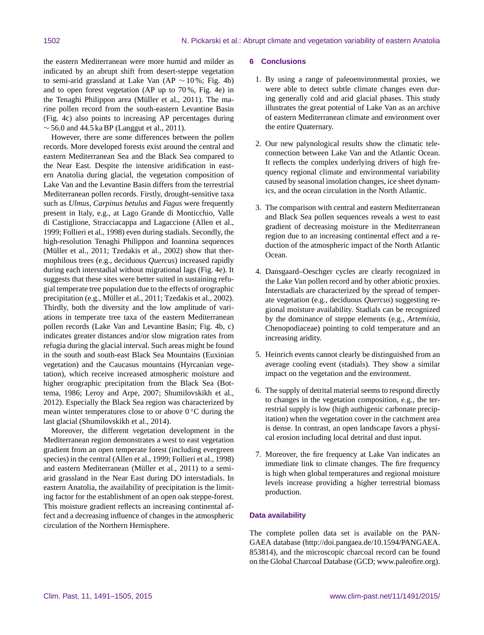the eastern Mediterranean were more humid and milder as indicated by an abrupt shift from desert-steppe vegetation to semi-arid grassland at Lake Van (AP  $\sim$  10 %; Fig. 4b) and to open forest vegetation (AP up to 70 %, Fig. 4e) in the Tenaghi Philippon area (Müller et al., 2011). The marine pollen record from the south-eastern Levantine Basin (Fig. 4c) also points to increasing AP percentages during  $\sim$  56.0 and 44.5 ka BP (Langgut et al., 2011).

However, there are some differences between the pollen records. More developed forests exist around the central and eastern Mediterranean Sea and the Black Sea compared to the Near East. Despite the intensive aridification in eastern Anatolia during glacial, the vegetation composition of Lake Van and the Levantine Basin differs from the terrestrial Mediterranean pollen records. Firstly, drought-sensitive taxa such as *Ulmus*, *Carpinus betulus* and *Fagus* were frequently present in Italy, e.g., at Lago Grande di Monticchio, Valle di Castiglione, Stracciacappa and Lagaccione (Allen et al., 1999; Follieri et al., 1998) even during stadials. Secondly, the high-resolution Tenaghi Philippon and Ioannina sequences (Müller et al., 2011; Tzedakis et al., 2002) show that thermophilous trees (e.g., deciduous *Quercus*) increased rapidly during each interstadial without migrational lags (Fig. 4e). It suggests that these sites were better suited in sustaining refugial temperate tree population due to the effects of orographic precipitation (e.g., Müller et al., 2011; Tzedakis et al., 2002). Thirdly, both the diversity and the low amplitude of variations in temperate tree taxa of the eastern Mediterranean pollen records (Lake Van and Levantine Basin; Fig. 4b, c) indicates greater distances and/or slow migration rates from refugia during the glacial interval. Such areas might be found in the south and south-east Black Sea Mountains (Euxinian vegetation) and the Caucasus mountains (Hyrcanian vegetation), which receive increased atmospheric moisture and higher orographic precipitation from the Black Sea (Bottema, 1986; Leroy and Arpe, 2007; Shumilovskikh et al., 2012). Especially the Black Sea region was characterized by mean winter temperatures close to or above  $0^{\circ}$ C during the last glacial (Shumilovskikh et al., 2014).

Moreover, the different vegetation development in the Mediterranean region demonstrates a west to east vegetation gradient from an open temperate forest (including evergreen species) in the central (Allen et al., 1999; Follieri et al., 1998) and eastern Mediterranean (Müller et al., 2011) to a semiarid grassland in the Near East during DO interstadials. In eastern Anatolia, the availability of precipitation is the limiting factor for the establishment of an open oak steppe-forest. This moisture gradient reflects an increasing continental affect and a decreasing influence of changes in the atmospheric circulation of the Northern Hemisphere.

#### **6 Conclusions**

- 1. By using a range of paleoenvironmental proxies, we were able to detect subtle climate changes even during generally cold and arid glacial phases. This study illustrates the great potential of Lake Van as an archive of eastern Mediterranean climate and environment over the entire Quaternary.
- 2. Our new palynological results show the climatic teleconnection between Lake Van and the Atlantic Ocean. It reflects the complex underlying drivers of high frequency regional climate and environmental variability caused by seasonal insolation changes, ice sheet dynamics, and the ocean circulation in the North Atlantic.
- 3. The comparison with central and eastern Mediterranean and Black Sea pollen sequences reveals a west to east gradient of decreasing moisture in the Mediterranean region due to an increasing continental effect and a reduction of the atmospheric impact of the North Atlantic Ocean.
- 4. Dansgaard–Oeschger cycles are clearly recognized in the Lake Van pollen record and by other abiotic proxies. Interstadials are characterized by the spread of temperate vegetation (e.g., deciduous *Quercus*) suggesting regional moisture availability. Stadials can be recognized by the dominance of steppe elements (e.g., *Artemisia*, Chenopodiaceae) pointing to cold temperature and an increasing aridity.
- 5. Heinrich events cannot clearly be distinguished from an average cooling event (stadials). They show a similar impact on the vegetation and the environment.
- 6. The supply of detrital material seems to respond directly to changes in the vegetation composition, e.g., the terrestrial supply is low (high authigenic carbonate precipitation) when the vegetation cover in the catchment area is dense. In contrast, an open landscape favors a physical erosion including local detrital and dust input.
- 7. Moreover, the fire frequency at Lake Van indicates an immediate link to climate changes. The fire frequency is high when global temperatures and regional moisture levels increase providing a higher terrestrial biomass production.

## **Data availability**

The complete pollen data set is available on the PAN-GAEA database [\(http://doi.pangaea.de/10.1594/PANGAEA.](http://doi.pangaea.de/10.1594/PANGAEA.853814) [853814\)](http://doi.pangaea.de/10.1594/PANGAEA.853814), and the microscopic charcoal record can be found on the Global Charcoal Database (GCD; [www.paleofire.org\)](www.paleofire.org).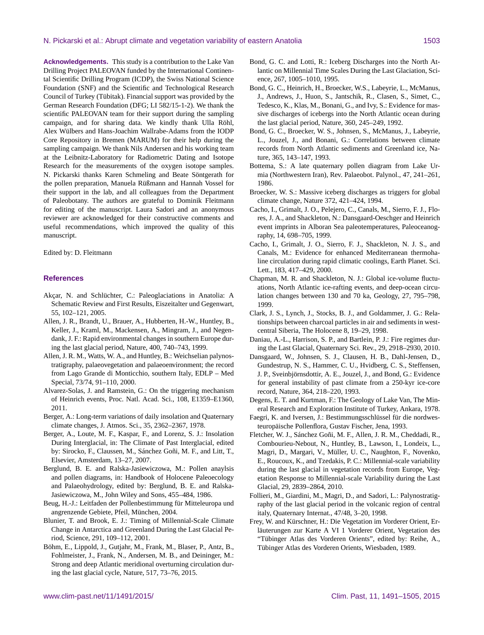#### N. Pickarski et al.: Abrupt climate and vegetation variability of eastern Anatolia 1503

**Acknowledgements.** This study is a contribution to the Lake Van Drilling Project PALEOVAN funded by the International Continental Scientific Drilling Program (ICDP), the Swiss National Science Foundation (SNF) and the Scientific and Technological Research Council of Turkey (Tübitak). Financial support was provided by the German Research Foundation (DFG; LI 582/15-1-2). We thank the scientific PALEOVAN team for their support during the sampling campaign, and for sharing data. We kindly thank Ulla Röhl, Alex Wülbers and Hans-Joachim Wallrabe-Adams from the IODP Core Repository in Bremen (MARUM) for their help during the sampling campaign. We thank Nils Andersen and his working team at the Leibnitz-Laboratory for Radiometric Dating and Isotope Research for the measurements of the oxygen isotope samples. N. Pickarski thanks Karen Schmeling and Beate Söntgerath for the pollen preparation, Manuela Rüßmann and Hannah Vossel for their support in the lab, and all colleagues from the Department of Paleobotany. The authors are grateful to Dominik Fleitmann for editing of the manuscript. Laura Sadori and an anonymous reviewer are acknowledged for their constructive comments and useful recommendations, which improved the quality of this manuscript.

Edited by: D. Fleitmann

#### **References**

- Akçar, N. and Schlüchter, C.: Paleoglaciations in Anatolia: A Schematic Review and First Results, Eiszeitalter und Gegenwart, 55, 102–121, 2005.
- Allen, J. R., Brandt, U., Brauer, A., Hubberten, H.-W., Huntley, B., Keller, J., Kraml, M., Mackensen, A., Mingram, J., and Negendank, J. F.: Rapid environmental changes in southern Europe during the last glacial period, Nature, 400, 740–743, 1999.
- Allen, J. R. M., Watts, W. A., and Huntley, B.: Weichselian palynostratigraphy, palaeovegetation and palaeoenvironment; the record from Lago Grande di Monticchio, southern Italy, EDLP – Med Special, 73/74, 91–110, 2000.
- Alvarez-Solas, J. and Ramstein, G.: On the triggering mechanism of Heinrich events, Proc. Natl. Acad. Sci., 108, E1359–E1360, 2011.
- Berger, A.: Long-term variations of daily insolation and Quaternary climate changes, J. Atmos. Sci., 35, 2362–2367, 1978.
- Berger, A., Loute, M. F., Kaspar, F., and Lorenz, S. J.: Insolation During Interglacial, in: The Climate of Past Interglacial, edited by: Sirocko, F., Claussen, M., Sánchez Goñi, M. F., and Litt, T., Elsevier, Amsterdam, 13–27, 2007.
- Berglund, B. E. and Ralska-Jasiewiczowa, M.: Pollen anaylsis and pollen diagrams, in: Handbook of Holocene Paleoecology and Palaeohydrology, edited by: Berglund, B. E. and Ralska-Jasiewiczowa, M., John Wiley and Sons, 455–484, 1986.
- Beug, H.-J.: Leitfaden der Pollenbestimmung für Mitteleuropa und angrenzende Gebiete, Pfeil, München, 2004.
- Blunier, T. and Brook, E. J.: Timing of Millennial-Scale Climate Change in Antarctica and Greenland During the Last Glacial Period, Science, 291, 109–112, 2001.
- Böhm, E., Lippold, J., Gutjahr, M., Frank, M., Blaser, P., Antz, B., Fohlmeister, J., Frank, N., Andersen, M. B., and Deininger, M.: Strong and deep Atlantic meridional overturning circulation during the last glacial cycle, Nature, 517, 73–76, 2015.
- Bond, G. C. and Lotti, R.: Iceberg Discharges into the North Atlantic on Millennial Time Scales During the Last Glaciation, Science, 267, 1005–1010, 1995.
- Bond, G. C., Heinrich, H., Broecker, W.S., Labeyrie, L., McManus, J., Andrews, J., Huon, S., Jantschik, R., Clasen, S., Simet, C., Tedesco, K., Klas, M., Bonani, G., and Ivy, S.: Evidence for massive discharges of icebergs into the North Atlantic ocean during the last glacial period, Nature, 360, 245–249, 1992.
- Bond, G. C., Broecker, W. S., Johnsen, S., McManus, J., Labeyrie, L., Jouzel, J., and Bonani, G.: Correlations between climate records from North Atlantic sediments and Greenland ice, Nature, 365, 143–147, 1993.
- Bottema, S.: A late quaternary pollen diagram from Lake Urmia (Northwestern Iran), Rev. Palaeobot. Palynol., 47, 241–261, 1986.
- Broecker, W. S.: Massive iceberg discharges as triggers for global climate change, Nature 372, 421–424, 1994.
- Cacho, I., Grimalt, J. O., Pelejero, C., Canals, M., Sierro, F. J., Flores, J. A., and Shackleton, N.: Dansgaard-Oeschger and Heinrich event imprints in Alboran Sea paleotemperatures, Paleoceanography, 14, 698–705, 1999.
- Cacho, I., Grimalt, J. O., Sierro, F. J., Shackleton, N. J. S., and Canals, M.: Evidence for enhanced Mediterranean thermohaline circulation during rapid climatic coolings, Earth Planet. Sci. Lett., 183, 417–429, 2000.
- Chapman, M. R. and Shackleton, N. J.: Global ice-volume fluctuations, North Atlantic ice-rafting events, and deep-ocean circulation changes between 130 and 70 ka, Geology, 27, 795–798, 1999.
- Clark, J. S., Lynch, J., Stocks, B. J., and Goldammer, J. G.: Relationships between charcoal particles in air and sediments in westcentral Siberia, The Holocene 8, 19–29, 1998.
- Daniau, A.-L., Harrison, S. P., and Bartlein, P. J.: Fire regimes during the Last Glacial, Quaternary Sci. Rev., 29, 2918–2930, 2010.
- Dansgaard, W., Johnsen, S. J., Clausen, H. B., Dahl-Jensen, D., Gundestrup, N. S., Hammer, C. U., Hvidberg, C. S., Steffensen, J. P., Sveinbjörnsdottir, A. E., Jouzel, J., and Bond, G.: Evidence for general instability of past climate from a 250-kyr ice-core record, Nature, 364, 218–220, 1993.
- Degens, E. T. and Kurtman, F.: The Geology of Lake Van, The Mineral Research and Exploration Institute of Turkey, Ankara, 1978.
- Faegri, K. and Iversen, J.: Bestimmungsschlüssel für die nordwesteuropäische Pollenflora, Gustav Fischer, Jena, 1993.
- Fletcher, W. J., Sánchez Goñi, M. F., Allen, J. R. M., Cheddadi, R., Combourieu-Nebout, N., Huntley, B., Lawson, I., Londeix, L., Magri, D., Margari, V., Müller, U. C., Naughton, F., Novenko, E., Roucoux, K., and Tzedakis, P. C.: Millennial-scale variability during the last glacial in vegetation records from Europe, Vegetation Response to Millennial-scale Variability during the Last Glacial, 29, 2839–2864, 2010.
- Follieri, M., Giardini, M., Magri, D., and Sadori, L.: Palynostratigraphy of the last glacial period in the volcanic region of central italy, Quaternary Internat., 47/48, 3–20, 1998.
- Frey, W. and Kürschner, H.: Die Vegetation im Vorderer Orient, Erläuterungen zur Karte A VI 1 Vorderer Orient, Vegetation des "Tübinger Atlas des Vorderen Orients", edited by: Reihe, A., Tübinger Atlas des Vorderen Orients, Wiesbaden, 1989.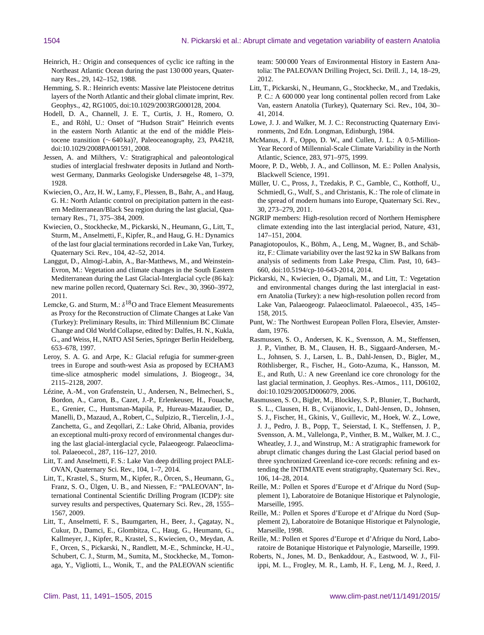- Heinrich, H.: Origin and consequences of cyclic ice rafting in the Northeast Atlantic Ocean during the past 130 000 years, Quaternary Res., 29, 142–152, 1988.
- Hemming, S. R.: Heinrich events: Massive late Pleistocene detritus layers of the North Atlantic and their global climate imprint, Rev. Geophys., 42, RG1005, doi[:10.1029/2003RG000128,](http://dx.doi.org/10.1029/2003RG000128) 2004.
- Hodell, D. A., Channell, J. E. T., Curtis, J. H., Romero, O. E., and Röhl, U.: Onset of "Hudson Strait" Heinrich events in the eastern North Atlantic at the end of the middle Pleistocene transition (∼ 640 ka)?, Paleoceanography, 23, PA4218, doi[:10.1029/2008PA001591,](http://dx.doi.org/10.1029/2008PA001591) 2008.
- Jessen, A. and Milthers, V.: Stratigraphical and paleontological studies of interglacial freshwater deposits in Jutland and Northwest Germany, Danmarks Geologiske Undersøgelse 48, 1–379, 1928.
- Kwiecien, O., Arz, H. W., Lamy, F., Plessen, B., Bahr, A., and Haug, G. H.: North Atlantic control on precipitation pattern in the eastern Mediterranean/Black Sea region during the last glacial, Quaternary Res., 71, 375–384, 2009.
- Kwiecien, O., Stockhecke, M., Pickarski, N., Heumann, G., Litt, T., Sturm, M., Anselmetti, F., Kipfer, R., and Haug, G. H.: Dynamics of the last four glacial terminations recorded in Lake Van, Turkey, Quaternary Sci. Rev., 104, 42–52, 2014.
- Langgut, D., Almogi-Labin, A., Bar-Matthews, M., and Weinstein-Evron, M.: Vegetation and climate changes in the South Eastern Mediterranean during the Last Glacial-Interglacial cycle (86 ka): new marine pollen record, Quaternary Sci. Rev., 30, 3960–3972, 2011.
- Lemcke, G. and Sturm, M.:  $\delta^{18}O$  and Trace Element Measurements as Proxy for the Reconstruction of Climate Changes at Lake Van (Turkey): Preliminary Results, in: Third Millennium BC Climate Change and Old World Collapse, edited by: Dalfes, H. N., Kukla, G., and Weiss, H., NATO ASI Series, Springer Berlin Heidelberg, 653–678, 1997.
- Leroy, S. A. G. and Arpe, K.: Glacial refugia for summer-green trees in Europe and south-west Asia as proposed by ECHAM3 time-slice atmospheric model simulations, J. Biogeogr., 34, 2115–2128, 2007.
- Lézine, A.-M., von Grafenstein, U., Andersen, N., Belmecheri, S., Bordon, A., Caron, B., Cazet, J.-P., Erlenkeuser, H., Fouache, E., Grenier, C., Huntsman-Mapila, P., Hureau-Mazaudier, D., Manelli, D., Mazaud, A., Robert, C., Sulpizio, R., Tiercelin, J.-J., Zanchetta, G., and Zeqollari, Z.: Lake Ohrid, Albania, provides an exceptional multi-proxy record of environmental changes during the last glacial-interglacial cycle, Palaeogeogr. Palaeoclimatol. Palaeoecol., 287, 116–127, 2010.
- Litt, T. and Anselmetti, F. S.: Lake Van deep drilling project PALE-OVAN, Quaternary Sci. Rev., 104, 1–7, 2014.
- Litt, T., Krastel, S., Sturm, M., Kipfer, R., Örcen, S., Heumann, G., Franz, S. O., Ülgen, U. B., and Niessen, F.: "PALEOVAN", International Continental Scientific Drilling Program (ICDP): site survey results and perspectives, Quaternary Sci. Rev., 28, 1555– 1567, 2009.
- Litt, T., Anselmetti, F. S., Baumgarten, H., Beer, J., Çagatay, N., Cukur, D., Damci, E., Glombitza, C., Haug, G., Heumann, G., Kallmeyer, J., Kipfer, R., Krastel, S., Kwiecien, O., Meydan, A. F., Orcen, S., Pickarski, N., Randlett, M.-E., Schmincke, H.-U., Schubert, C. J., Sturm, M., Sumita, M., Stockhecke, M., Tomonaga, Y., Vigliotti, L., Wonik, T., and the PALEOVAN scientific

team: 500 000 Years of Environmental History in Eastern Anatolia: The PALEOVAN Drilling Project, Sci. Drill. J., 14, 18–29, 2012.

- Litt, T., Pickarski, N., Heumann, G., Stockhecke, M., and Tzedakis, P. C.: A 600 000 year long continental pollen record from Lake Van, eastern Anatolia (Turkey), Quaternary Sci. Rev., 104, 30– 41, 2014.
- Lowe, J. J. and Walker, M. J. C.: Reconstructing Quaternary Environments, 2nd Edn. Longman, Edinburgh, 1984.
- McManus, J. F., Oppo, D. W., and Cullen, J. L.: A 0.5-Million-Year Record of Millennial-Scale Climate Variability in the North Atlantic, Science, 283, 971–975, 1999.
- Moore, P. D., Webb, J. A., and Collinson, M. E.: Pollen Analysis, Blackwell Science, 1991.
- Müller, U. C., Pross, J., Tzedakis, P. C., Gamble, C., Kotthoff, U., Schmiedl, G., Wulf, S., and Christanis, K.: The role of climate in the spread of modern humans into Europe, Quaternary Sci. Rev., 30, 273–279, 2011.
- NGRIP members: High-resolution record of Northern Hemisphere climate extending into the last interglacial period, Nature, 431, 147–151, 2004.
- Panagiotopoulos, K., Böhm, A., Leng, M., Wagner, B., and Schäbitz, F.: Climate variability over the last 92 ka in SW Balkans from analysis of sediments from Lake Prespa, Clim. Past, 10, 643– 660, doi[:10.5194/cp-10-643-2014,](http://dx.doi.org/10.5194/cp-10-643-2014) 2014.
- Pickarski, N., Kwiecien, O., Djamali, M., and Litt, T.: Vegetation and environmental changes during the last interglacial in eastern Anatolia (Turkey): a new high-resolution pollen record from Lake Van, Palaeogeogr. Palaeoclimatol. Palaeoecol., 435, 145– 158, 2015.
- Punt, W.: The Northwest European Pollen Flora, Elsevier, Amsterdam, 1976.
- Rasmussen, S. O., Andersen, K. K., Svensson, A. M., Steffensen, J. P., Vinther, B. M., Clausen, H. B., Siggaard-Andersen, M.- L., Johnsen, S. J., Larsen, L. B., Dahl-Jensen, D., Bigler, M., Röthlisberger, R., Fischer, H., Goto-Azuma, K., Hansson, M. E., and Ruth, U.: A new Greenland ice core chronology for the last glacial termination, J. Geophys. Res.-Atmos., 111, D06102, doi[:10.1029/2005JD006079,](http://dx.doi.org/10.1029/2005JD006079) 2006.
- Rasmussen, S. O., Bigler, M., Blockley, S. P., Blunier, T., Buchardt, S. L., Clausen, H. B., Cvijanovic, I., Dahl-Jensen, D., Johnsen, S. J., Fischer, H., Gkinis, V., Guillevic, M., Hoek, W. Z., Lowe, J. J., Pedro, J. B., Popp, T., Seierstad, I. K., Steffensen, J. P., Svensson, A. M., Vallelonga, P., Vinther, B. M., Walker, M. J. C., Wheatley, J. J., and Winstrup, M.: A stratigraphic framework for abrupt climatic changes during the Last Glacial period based on three synchronized Greenland ice-core records: refining and extending the INTIMATE event stratigraphy, Quaternary Sci. Rev., 106, 14–28, 2014.
- Reille, M.: Pollen et Spores d'Europe et d'Afrique du Nord (Supplement 1), Laboratoire de Botanique Historique et Palynologie, Marseille, 1995.
- Reille, M.: Pollen et Spores d'Europe et d'Afrique du Nord (Supplement 2), Laboratoire de Botanique Historique et Palynologie, Marseille, 1998.
- Reille, M.: Pollen et Spores d'Europe et d'Afrique du Nord, Laboratoire de Botanique Historique et Palynologie, Marseille, 1999.
- Roberts, N., Jones, M. D., Benkaddour, A., Eastwood, W. J., Filippi, M. L., Frogley, M. R., Lamb, H. F., Leng, M. J., Reed, J.